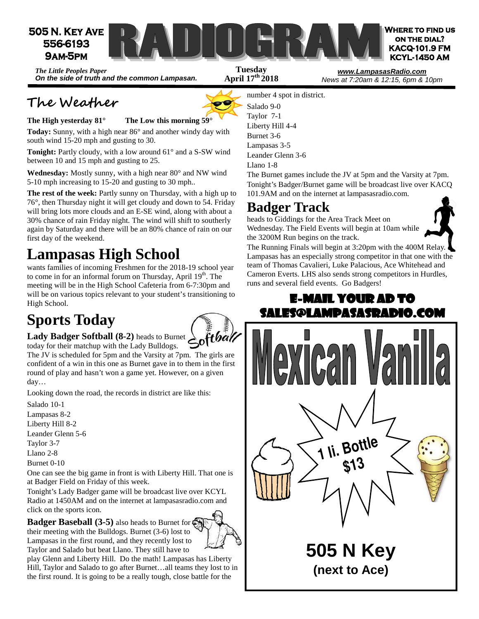

**April 17th 2018** 

*The Little Peoples Paper*  **On the side of truth and the common Lampasan.** 

## **The Weather**



**The High yesterday 81° The Low this morning 59°**

**Today:** Sunny, with a high near 86° and another windy day with south wind 15-20 mph and gusting to 30.

**Tonight:** Partly cloudy, with a low around 61° and a S-SW wind between 10 and 15 mph and gusting to 25.

**Wednesday:** Mostly sunny, with a high near 80° and NW wind 5-10 mph increasing to 15-20 and gusting to 30 mph..

**The rest of the week:** Partly sunny on Thursday, with a high up to 76°, then Thursday night it will get cloudy and down to 54. Friday will bring lots more clouds and an E-SE wind, along with about a 30% chance of rain Friday night. The wind will shift to southerly again by Saturday and there will be an 80% chance of rain on our first day of the weekend.

## **Lampasas High School**

wants families of incoming Freshmen for the 2018-19 school year to come in for an informal forum on Thursday, April  $19<sup>th</sup>$ . The meeting will be in the High School Cafeteria from 6-7:30pm and will be on various topics relevant to your student's transitioning to High School.

## **Sports Today**



Lady Badger Softball (8-2) heads to Burnet today for their matchup with the Lady Bulldogs.

The JV is scheduled for 5pm and the Varsity at 7pm. The girls are confident of a win in this one as Burnet gave in to them in the first round of play and hasn't won a game yet. However, on a given day…

Looking down the road, the records in district are like this:

Salado 10-1 Lampasas 8-2 Liberty Hill 8-2 Leander Glenn 5-6

Taylor 3-7

Llano 2-8

Burnet 0-10

One can see the big game in front is with Liberty Hill. That one is at Badger Field on Friday of this week.

Tonight's Lady Badger game will be broadcast live over KCYL Radio at 1450AM and on the internet at lampasasradio.com and click on the sports icon.

**Badger Baseball (3-5)** also heads to Burnet for their meeting with the Bulldogs. Burnet (3-6) lost to Lampasas in the first round, and they recently lost to Taylor and Salado but beat Llano. They still have to

play Glenn and Liberty Hill. Do the math! Lampasas has Liberty Hill, Taylor and Salado to go after Burnet…all teams they lost to in the first round. It is going to be a really tough, close battle for the

number 4 spot in district. Salado 9-0 Taylor 7-1 Liberty Hill 4-4 Burnet 3-6 Lampasas 3-5 Leander Glenn 3-6 Llano 1-8

The Burnet games include the JV at 5pm and the Varsity at 7pm. Tonight's Badger/Burnet game will be broadcast live over KACQ 101.9AM and on the internet at lampasasradio.com.

News at 7:20am & 12:15, 6pm & 10pm

## **Badger Track**

heads to Giddings for the Area Track Meet on Wednesday. The Field Events will begin at 10am while the 3200M Run begins on the track.



The Running Finals will begin at 3:20pm with the 400M Relay. Lampasas has an especially strong competitor in that one with the team of Thomas Cavalieri, Luke Palacious, Ace Whitehead and Cameron Everts. LHS also sends strong competitors in Hurdles, runs and several field events. Go Badgers!

# **E-MAIL YOUR AD TO** SALES@LAMPASASRADIO.COM Can **1 li. Bottle \$13 505 N Key (next to Ace)**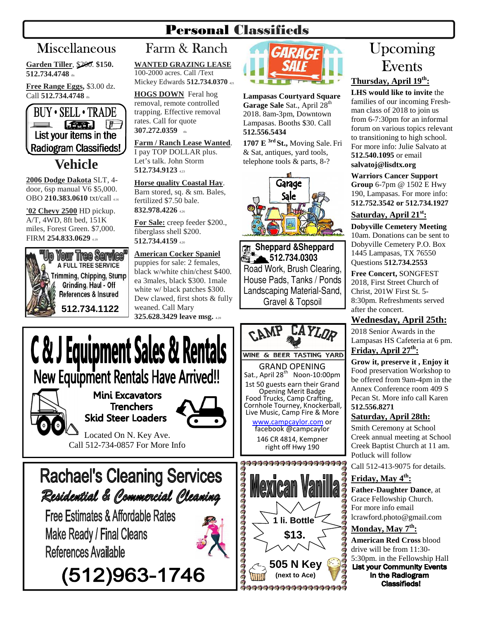## Personal Classifieds

**Garden Tiller**, \$200. **\$150.**  512.734.4748 th

**Free Range Eggs,** \$3.00 dz. Call 512.734.4748 th



#### **2006 Dodge Dakota** SLT, 4 door, 6sp manual V6 \$5,000. OBO **210.383.0610** txt/call 4.16

**'02 Chevy 2500** HD pickup. A/T, 4WD, 8ft bed, 151K miles, Forest Green. \$7,000. FIRM **254.833.0629** 4.19

#### **Your Tree Service** A FULL TREE SERVICE Trimming, Chipping, Stump Grinding, Haul - Off References & Insured **512.734.1122**

#### Miscellaneous Farm & Ranch Farm & Ranch **WANTED GRAZING LEASE**

100-2000 acres. Call /Text Mickey Edwards **512.734.0370** <sup>421</sup>

**HOGS DOWN** Feral hog removal, remote controlled trapping. Effective removal rates. Call for quote **307.272.0359** the

#### **Farm / Ranch Lease Wanted**.

I pay TOP DOLLAR plus. Let's talk. John Storm **512.734.9123** 4.23

#### **Horse quality Coastal Hay**.

Barn stored, sq. & sm. Bales, fertilized \$7.50 bale. **832.978.4226** 4.26

**For Sale:** creep feeder \$200., fiberglass shell \$200. **512.734.4159** 4.20

## **American Cocker Spaniel**

puppies for sale: 2 females, black w/white chin/chest \$400. ea 3males, black \$300. 1male white w/ black patches \$300. Dew clawed, first shots & fully weaned. Call Mary **325.628.3429 leave msg.** 4.20



**Lampasas Courtyard Square**  Garage Sale Sat., April 28<sup>th</sup> 2018. 8am-3pm, Downtown Lampasas. Booths \$30. Call **512.556.5434** 

**1707 E 3rd St.,** Moving Sale. Fri & Sat, antiques, yard tools, telephone tools & parts, 8-?



 **Sheppard &Sheppard 512.734.0303**  Road Work, Brush Clearing, House Pads, Tanks / Ponds Landscaping Material-Sand, Gravel & Topsoil



## Upcoming Events

#### **Thursday, April 19th:**

**LHS would like to invite** the families of our incoming Freshman class of 2018 to join us from 6-7:30pm for an informal forum on various topics relevant to transitioning to high school. For more info: Julie Salvato at **512.540.1095** or email **salvatoj@lisdtx.org**

#### **Warriors Cancer Support**

**Group** 6-7pm @ 1502 E Hwy 190, Lampasas. For more info: **512.752.3542 or 512.734.1927** 

#### **Saturday, April 21st:**

**Dobyville Cemetery Meeting** 10am. Donations can be sent to Dobyville Cemetery P.O. Box 1445 Lampasas, TX 76550 Questions **512.734.2553** 

**Free Concert,** SONGFEST 2018, First Street Church of Christ, 201W First St. 5- 8:30pm. Refreshments served after the concert.

#### **Wednesday, April 25th:**

2018 Senior Awards in the Lampasas HS Cafeteria at 6 pm.

**Friday, April 27th:**

**Grow it, preserve it , Enjoy it**  Food preservation Workshop to be offered from 9am-4pm in the Annex Conference room 409 S Pecan St. More info call Karen **512.556.8271** 

#### **Saturday, April 28th:**

Smith Ceremony at School Creek annual meeting at School Creek Baptist Church at 11 am. Potluck will follow

Call 512-413-9075 for details.

#### **Friday, May 4th:**

**Father-Daughter Dance**, at Grace Fellowship Church. For more info email lcrawford.photo@gmail.com

#### **Monday, May 7th:**

**American Red Cross** blood drive will be from 11:30- 5:30pm. in the Fellowship Hall<br>List your Community Events in the Radiogram **Classifieds!** 

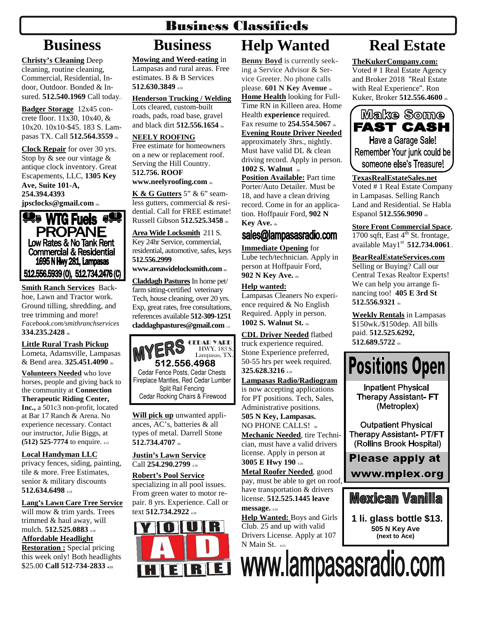## Business Classifieds

## **Business**

**Christy's Cleaning** Deep cleaning, routine cleaning, Commercial, Residential, Indoor, Outdoor. Bonded & Insured. **512.540.1969** Call today...

**Badger Storage** 12x45 concrete floor. 11x30, 10x40, & 10x20. 10x10-\$45. 183 S. Lampasas TX. Call **512.564.3559** tfn

**Clock Repair** for over 30 yrs. Stop by & see our vintage & antique clock inventory. Great Escapements, LLC, **1305 Key Ave, Suite 101-A, 254.394.4393 jpsclocks@gmail.com** the



**Smith Ranch Services** Backhoe, Lawn and Tractor work. Ground tilling, shredding, and tree trimming and more! *Facebook.com/smithranchservices*  **334.235.2428** the

#### **Little Rural Trash Pickup**

Lometa, Adamsville, Lampasas & Bend area. **325.451.4090** the

**Volunteers Needed** who love horses, people and giving back to the community at **Connection Therapeutic Riding Center, Inc.,** a 501c3 non-profit, located at Bar 17 Ranch & Arena. No experience necessary. Contact our instructor, Julie Biggs, at **(512) 525-7774** to enquire. 4.21

**Local Handyman LLC**  privacy fences, siding, painting, tile & more. Free Estimates, senior & military discounts **512.634.6498** 4.24

**Lang's Lawn Care Tree Service**  will mow & trim yards. Trees trimmed & haul away, will mulch. **512.525.0883** 4.20 **Affordable Headlight Restoration :** Special pricing

this week only! Both headlights \$25.00 Call 512-734-2833 423

## **Business**

**Mowing and Weed-eating** in Lampasas and rural areas. Free estimates. B & B Services **512.630.3849** 4.30

**Henderson Trucking / Welding** Lots cleared, custom-built roads, pads, road base, gravel and black dirt **512.556.1654** th

#### **NEELY ROOFING**

Free estimate for homeowners on a new or replacement roof. Serving the Hill Country. **512.756. ROOF** 

**www.neelyroofing.com** tfn

**K & G Gutters** 5" & 6" seamless gutters, commercial & residential. Call for FREE estimate! Russell Gibson **512.525.3458** tfn

**Area Wide Locksmith** 211 S. Key 24hr Service, commercial, residential, automotive, safes, keys **512.556.2999** 

#### **www.areawidelocksmith.com** the

**Claddagh Pastures**In home pet/ farm sitting-certified veterinary Tech, house cleaning, over 20 yrs. Exp, great rates, free consultations, references available **512-309-1251 claddaghpastures@gmail.com** 5.18

Cedar Fence Posts, Cedar Chests Fireplace Mantles, Red Cedar Lumber Split Rail Fencing Cedar Rocking Chairs & Firewood CEDAR YARD HWY. 183 S. Lampasas, TX. **512.556.4968**  $\ddot{\cdot}$ 

**Will pick up** unwanted appliances, AC's, batteries & all types of metal. Darrell Stone **512.734.4707** tfn

#### **Justin's Lawn Service**  Call **254.290.2799** 4.30

**Robert's Pool Service**  specializing in all pool issues. From green water to motor repair. 8 yrs. Experience. Call or text **512.734.2922** 4.20



## **Help Wanted**

**Benny Boyd** is currently seeking a Service Advisor & Service Greeter. No phone calls please. **601 N Key Avenue** tfn **Home Health** looking for Full-Time RN in Killeen area. Home Health **experience** required. Fax resume to 254.554.5067 th **Evening Route Driver Needed**  approximately 3hrs., nightly. Must have valid DL & clean driving record. Apply in person. **1002 S. Walnut**  $\text{t}_{\text{m}}$ **Position Available:** Part time Porter/Auto Detailer. Must be 18, and have a clean driving record. Come in for an application. Hoffpauir Ford, **902 N Key Ave.** th

### sales@lampasasradio.com

**Immediate Opening** for Lube tech/technician. Apply in person at Hoffpauir Ford, **902 N Key Ave.** tfn

#### **Help wanted:**

Lampasas Cleaners No experience required & No English Required. Apply in person. **1002 S. Walnut St.**  $\omega$ 

**CDL Driver Needed** flatbed truck experience required. Stone Experience preferred, 50-55 hrs per week required. **325.628.3216** 4.20

#### **Lampasas Radio/Radiogram**

is now accepting applications for PT positions. Tech, Sales, Administrative positions. **505 N Key, Lampasas.**  NO PHONE CALLS! the

**Mechanic Needed**, tire Technician, must have a valid drivers license. Apply in person at **3005 E Hwy 190** 4.26

**Metal Roofer Needed**, good pay, must be able to get on roof, have transportation & drivers license. **512.525.1445 leave message.** 4.20

**Help Wanted:** Boys and Girls Club. 25 and up with valid Drivers License. Apply at 107 N Main St. 4/23

**HEIRLEI** WWW.lampasasradio.com

## **Real Estate**

**TheKukerCompany.com:** Voted # 1 Real Estate Agency and Broker 2018 "Real Estate with Real Experience". Ron Kuker, Broker **512.556.4600** th



**TexasRealEstateSales.net** Voted # 1 Real Estate Company in Lampasas. Selling Ranch Land and Residential. Se Habla Espanol **512.556.9090** the

**Store Front Commercial Space**, 1700 sqft, East  $4<sup>th</sup>$  St. frontage, available May1<sup>st</sup> 512.734.0061.

#### **BearRealEstateServices.com**

Selling or Buying? Call our Central Texas Realtor Experts! We can help you arrange financing too! **405 E 3rd St**  512.556.9321 th

**Weekly Rentals** in Lampasas \$150wk./\$150dep. All bills paid. **512.525.6292, 512.689.5722** tfn



**Inpatient Physical Therapy Assistant-FT** (Metroplex)

**Outpatient Physical Therapy Assistant- PT/FT** (Rollins Brook Hospital)

Please apply at

www.mplex.org

## **Mexican Vanilla**

**1 li. glass bottle \$13. 505 N Key Ave (next to Ace)**